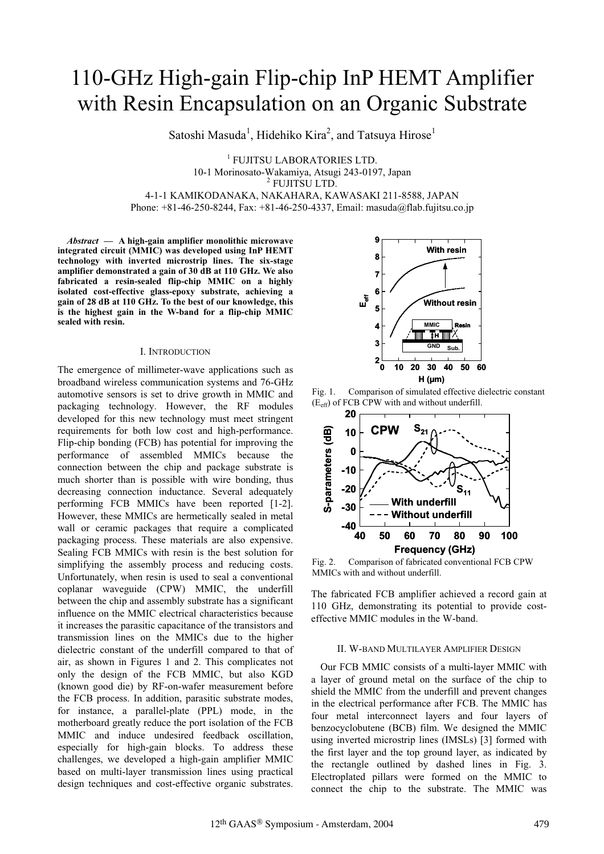# 110-GHz High-gain Flip-chip InP HEMT Amplifier with Resin Encapsulation on an Organic Substrate

Satoshi Masuda<sup>1</sup>, Hidehiko Kira<sup>2</sup>, and Tatsuya Hirose<sup>1</sup>

1 FUJITSU LABORATORIES LTD. 10-1 Morinosato-Wakamiya, Atsugi 243-0197, Japan <sup>2</sup> <sup>2</sup> FUJITSU LTD. 4-1-1 KAMIKODANAKA, NAKAHARA, KAWASAKI 211-8588, JAPAN Phone: +81-46-250-8244, Fax: +81-46-250-4337, Email: masuda@flab.fujitsu.co.jp

*Abstract* **— A high-gain amplifier monolithic microwave integrated circuit (MMIC) was developed using InP HEMT technology with inverted microstrip lines. The six-stage amplifier demonstrated a gain of 30 dB at 110 GHz. We also fabricated a resin-sealed flip-chip MMIC on a highly isolated cost-effective glass-epoxy substrate, achieving a gain of 28 dB at 110 GHz. To the best of our knowledge, this is the highest gain in the W-band for a flip-chip MMIC sealed with resin.**

#### I. INTRODUCTION

The emergence of millimeter-wave applications such as broadband wireless communication systems and 76-GHz automotive sensors is set to drive growth in MMIC and packaging technology. However, the RF modules developed for this new technology must meet stringent requirements for both low cost and high-performance. Flip-chip bonding (FCB) has potential for improving the performance of assembled MMICs because the connection between the chip and package substrate is much shorter than is possible with wire bonding, thus decreasing connection inductance. Several adequately performing FCB MMICs have been reported [1-2]. However, these MMICs are hermetically sealed in metal wall or ceramic packages that require a complicated packaging process. These materials are also expensive. Sealing FCB MMICs with resin is the best solution for simplifying the assembly process and reducing costs. Unfortunately, when resin is used to seal a conventional coplanar waveguide (CPW) MMIC, the underfill between the chip and assembly substrate has a significant influence on the MMIC electrical characteristics because it increases the parasitic capacitance of the transistors and transmission lines on the MMICs due to the higher dielectric constant of the underfill compared to that of air, as shown in Figures 1 and 2. This complicates not only the design of the FCB MMIC, but also KGD (known good die) by RF-on-wafer measurement before the FCB process. In addition, parasitic substrate modes, for instance, a parallel-plate (PPL) mode, in the motherboard greatly reduce the port isolation of the FCB MMIC and induce undesired feedback oscillation, especially for high-gain blocks. To address these challenges, we developed a high-gain amplifier MMIC based on multi-layer transmission lines using practical design techniques and cost-effective organic substrates.



Fig. 1. Comparison of simulated effective dielectric constant (Eeff) of FCB CPW with and without underfill.



Fig. 2. Comparison of fabricated conventional FCB CPW MMICs with and without underfill.

The fabricated FCB amplifier achieved a record gain at 110 GHz, demonstrating its potential to provide costeffective MMIC modules in the W-band.

## II. W-BAND MULTILAYER AMPLIFIER DESIGN

Our FCB MMIC consists of a multi-layer MMIC with a layer of ground metal on the surface of the chip to shield the MMIC from the underfill and prevent changes in the electrical performance after FCB. The MMIC has four metal interconnect layers and four layers of benzocyclobutene (BCB) film. We designed the MMIC using inverted microstrip lines (IMSLs) [3] formed with the first layer and the top ground layer, as indicated by the rectangle outlined by dashed lines in Fig. 3. Electroplated pillars were formed on the MMIC to connect the chip to the substrate. The MMIC was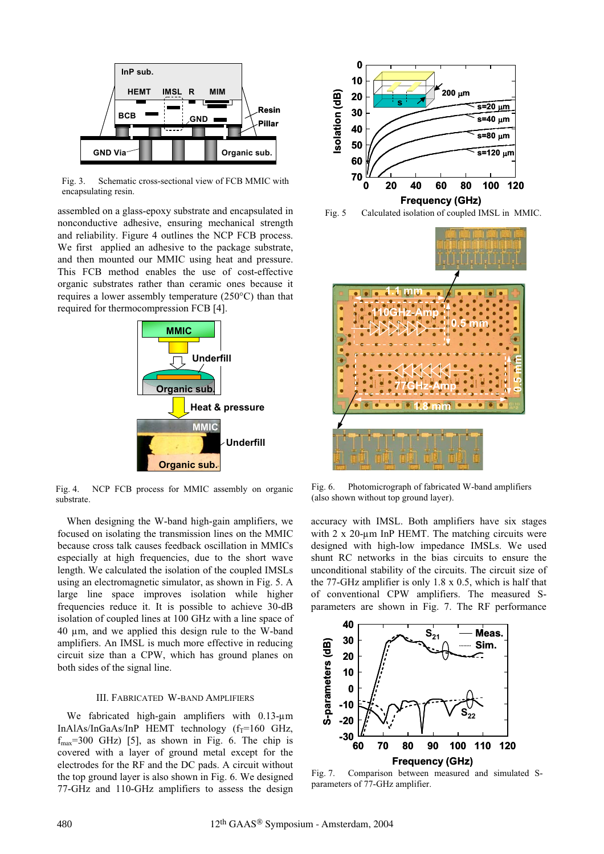

Fig. 3. Schematic cross-sectional view of FCB MMIC with encapsulating resin.

assembled on a glass-epoxy substrate and encapsulated in nonconductive adhesive, ensuring mechanical strength and reliability. Figure 4 outlines the NCP FCB process. We first applied an adhesive to the package substrate, and then mounted our MMIC using heat and pressure. This FCB method enables the use of cost-effective organic substrates rather than ceramic ones because it requires a lower assembly temperature (250°C) than that required for thermocompression FCB [4].



Fig. 4. NCP FCB process for MMIC assembly on organic substrate.

When designing the W-band high-gain amplifiers, we focused on isolating the transmission lines on the MMIC because cross talk causes feedback oscillation in MMICs especially at high frequencies, due to the short wave length. We calculated the isolation of the coupled IMSLs using an electromagnetic simulator, as shown in Fig. 5. A large line space improves isolation while higher frequencies reduce it. It is possible to achieve 30-dB isolation of coupled lines at 100 GHz with a line space of 40 µm, and we applied this design rule to the W-band amplifiers. An IMSL is much more effective in reducing circuit size than a CPW, which has ground planes on both sides of the signal line.

## III. FABRICATED W-BAND AMPLIFIERS

We fabricated high-gain amplifiers with 0.13-um  $In AlAs/InGaAs/InP$  HEMT technology ( $f_T=160$  GHz,  $f_{\text{max}}$ =300 GHz) [5], as shown in Fig. 6. The chip is covered with a layer of ground metal except for the electrodes for the RF and the DC pads. A circuit without the top ground layer is also shown in Fig. 6. We designed 77-GHz and 110-GHz amplifiers to assess the design







Fig. 6. Photomicrograph of fabricated W-band amplifiers (also shown without top ground layer).

accuracy with IMSL. Both amplifiers have six stages with 2 x 20-μm InP HEMT. The matching circuits were designed with high-low impedance IMSLs. We used shunt RC networks in the bias circuits to ensure the unconditional stability of the circuits. The circuit size of the 77-GHz amplifier is only 1.8 x 0.5, which is half that of conventional CPW amplifiers. The measured Sparameters are shown in Fig. 7. The RF performance



Fig. 7. Comparison between measured and simulated Sparameters of 77-GHz amplifier.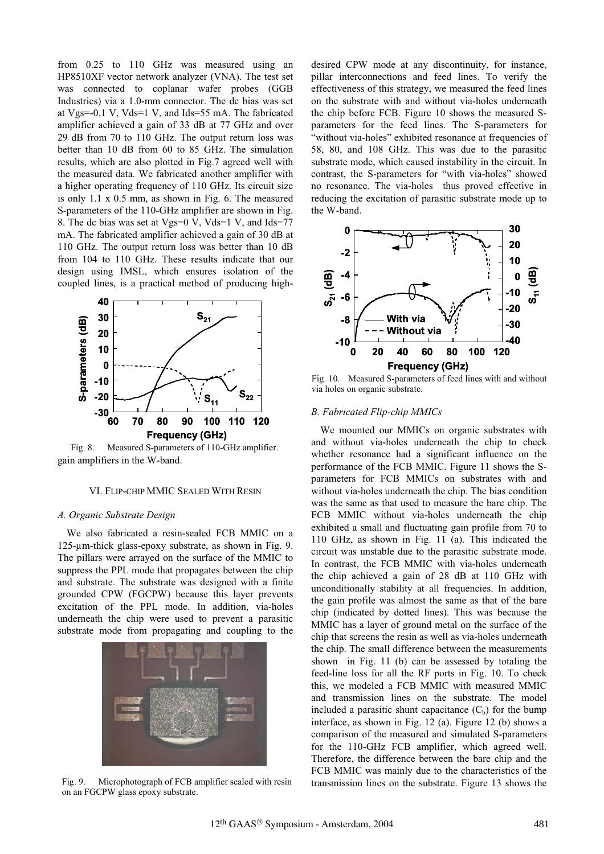from 0.25 to 110 GHz was measured using an HP8510XF vector network analyzer (VNA). The test set was connected to coplanar wafer probes (GGB Industries) via a 1.0-mm connector. The dc bias was set at Vgs=-0.1 V, Vds=1 V, and Ids=55 mA. The fabricated amplifier achieved a gain of 33 dB at 77 GHz and over 29 dB from 70 to 110 GHz. The output return loss was better than 10 dB from 60 to 85 GHz. The simulation results, which are also plotted in Fig.7 agreed well with the measured data. We fabricated another amplifier with a higher operating frequency of 110 GHz. Its circuit size is only 1.1 x 0.5 mm, as shown in Fig. 6. The measured S-parameters of the 110-GHz amplifier are shown in Fig. 8. The dc bias was set at Vgs=0 V, Vds=1 V, and Ids=77 mA. The fabricated amplifier achieved a gain of 30 dB at 110 GHz. The output return loss was better than 10 dB from 104 to 110 GHz. These results indicate that our design using IMSL, which ensures isolation of the coupled lines, is a practical method of producing high-



gain amplifiers in the W-band. Fig. 8. Measured S-parameters of 110-GHz amplifier.

#### VI. FLIP-CHIP MMIC SEALED WITH RESIN

#### *A. Organic Substrate Design*

We also fabricated a resin-sealed FCB MMIC on a 125-µm-thick glass-epoxy substrate, as shown in Fig. 9. The pillars were arrayed on the surface of the MMIC to suppress the PPL mode that propagates between the chip and substrate. The substrate was designed with a finite grounded CPW (FGCPW) because this layer prevents excitation of the PPL mode. In addition, via-holes underneath the chip were used to prevent a parasitic substrate mode from propagating and coupling to the



on an FGCPW glass epoxy substrate.

desired CPW mode at any discontinuity, for instance, pillar interconnections and feed lines. To verify the effectiveness of this strategy, we measured the feed lines on the substrate with and without via-holes underneath the chip before FCB. Figure 10 shows the measured Sparameters for the feed lines. The S-parameters for "without via-holes" exhibited resonance at frequencies of 58, 80, and 108 GHz. This was due to the parasitic substrate mode, which caused instability in the circuit. In contrast, the S-parameters for "with via-holes" showed no resonance. The via-holes thus proved effective in reducing the excitation of parasitic substrate mode up to the W-band.



Fig. 10. Measured S-parameters of feed lines with and without via holes on organic substrate.

#### *B. Fabricated Flip-chip MMICs*

We mounted our MMICs on organic substrates with and without via-holes underneath the chip to check whether resonance had a significant influence on the performance of the FCB MMIC. Figure 11 shows the Sparameters for FCB MMICs on substrates with and without via-holes underneath the chip. The bias condition was the same as that used to measure the bare chip. The FCB MMIC without via-holes underneath the chip exhibited a small and fluctuating gain profile from 70 to 110 GHz, as shown in Fig. 11 (a). This indicated the circuit was unstable due to the parasitic substrate mode. In contrast, the FCB MMIC with via-holes underneath the chip achieved a gain of 28 dB at 110 GHz with unconditionally stability at all frequencies. In addition, the gain profile was almost the same as that of the bare chip (indicated by dotted lines). This was because the MMIC has a layer of ground metal on the surface of the chip that screens the resin as well as via-holes underneath the chip. The small difference between the measurements shown in Fig. 11 (b) can be assessed by totaling the feed-line loss for all the RF ports in Fig. 10. To check this, we modeled a FCB MMIC with measured MMIC and transmission lines on the substrate. The model included a parasitic shunt capacitance  $(C_b)$  for the bump interface, as shown in Fig. 12 (a). Figure 12 (b) shows a comparison of the measured and simulated S-parameters for the 110-GHz FCB amplifier, which agreed well. Therefore, the difference between the bare chip and the FCB MMIC was mainly due to the characteristics of the Fig. 9. Microphotograph of FCB amplifier sealed with resin transmission lines on the substrate. Figure 13 shows the